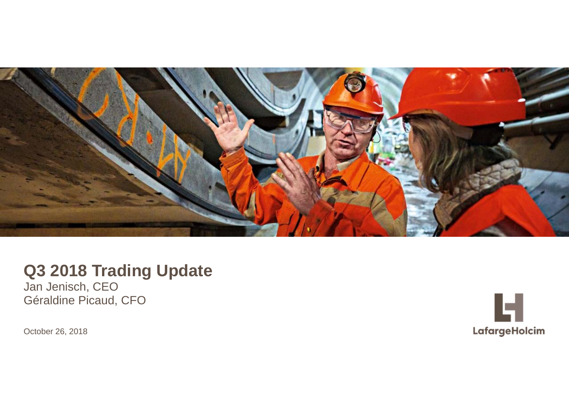

# **Q3 2018 Trading Update**

Jan Jenisch, CEO Géraldine Picaud, CFO

October 26, 2018

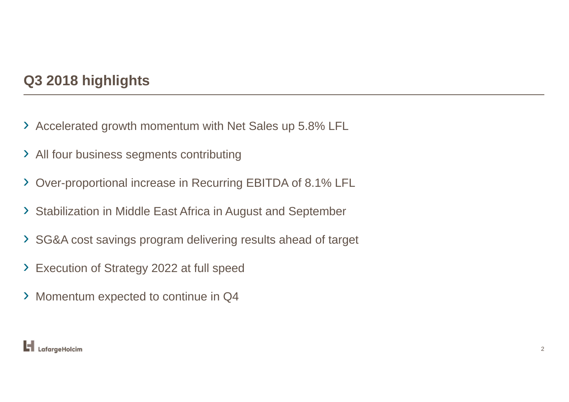## **Q3 2018 highlights**

- › Accelerated growth momentum with Net Sales up 5.8% LFL
- ›All four business segments contributing
- ›Over-proportional increase in Recurring EBITDA of 8.1% LFL
- › Stabilization in Middle East Africa in August and September
- › SG&A cost savings program delivering results ahead of target
- ›Execution of Strategy 2022 at full speed
- › Momentum expected to continue in Q4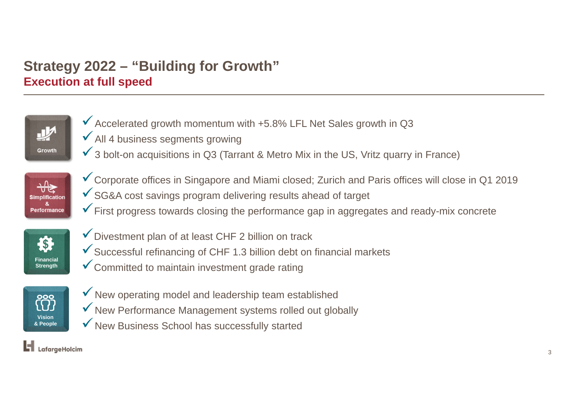# **Strategy 2022 – "Building for Growth" Execution at full speed**



- $\checkmark$  Accelerated growth momentum with +5.8% LFL Net Sales growth in Q3
- $\checkmark$  All 4 business segments growing
- $\checkmark$  3 bolt-on acquisitions in Q3 (Tarrant & Metro Mix in the US, Vritz quarry in France)



- Corporate offices in Singapore and Miami closed; Zurich and Paris offices will close in Q1 2019 SG&A cost savings program delivering results ahead of target
- $\checkmark$  First progress towards closing the performance gap in aggregates and ready-mix concrete



- $\checkmark$  Divestment plan of at least CHF 2 billion on track
- $\checkmark$  Successful refinancing of CHF 1.3 billion debt on financial markets
- Committed to maintain investment grade rating



- $\checkmark$  New operating model and leadership team established
- $\checkmark$  New Performance Management systems rolled out globally
- $\checkmark$  New Business School has successfully started

#### $\blacksquare$  LafargeHolcim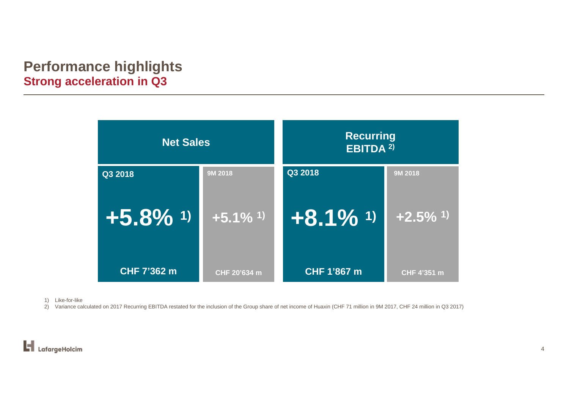### **Performance highlights Strong acceleration in Q3**

| <b>Net Sales</b>       |                        | <b>Recurring</b><br><b>EBITDA 2)</b> |                        |
|------------------------|------------------------|--------------------------------------|------------------------|
| Q3 2018                | 9M 2018                | Q3 2018                              | 9M 2018                |
| $+5.8\%$ <sup>1)</sup> | $+5.1\%$ <sup>1)</sup> | $+8.1\%$ 1)                          | $+2.5\%$ <sup>1)</sup> |
| CHF 7'362 m            | CHF 20'634 m           | CHF 1'867 m                          | CHF 4'351 m            |

1) Like-for-like

2) Variance calculated on 2017 Recurring EBITDA restated for the inclusion of the Group share of net income of Huaxin (CHF 71 million in 9M 2017, CHF 24 million in Q3 2017)

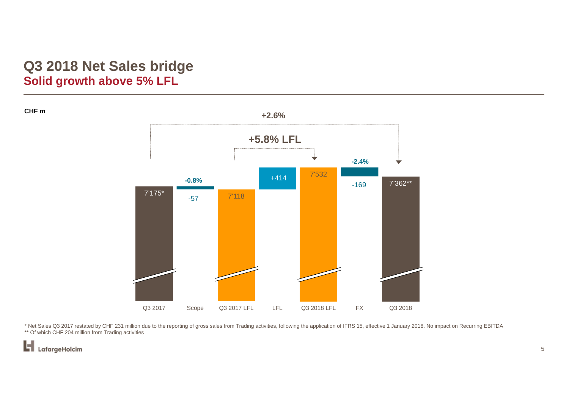#### **Q3 2018 Net Sales bridge Solid growth above 5% LFL**

**+2.6%+5.8% LFL** ÷ **-2.4%** 7'532 +414**-0.8%** 7'362\*\* -1697'175\* 7'118 -57Q3 2017 Scope Q3 2017 LFL LFL Q3 2018 LFL FX Q3 2018

\* Net Sales Q3 2017 restated by CHF 231 million due to the reporting of gross sales from Trading activities, following the application of IFRS 15, effective 1 January 2018. No impact on Recurring EBITDA \*\* Of which CHF 204 million from Trading activities

H LafargeHolcim

**CHF m**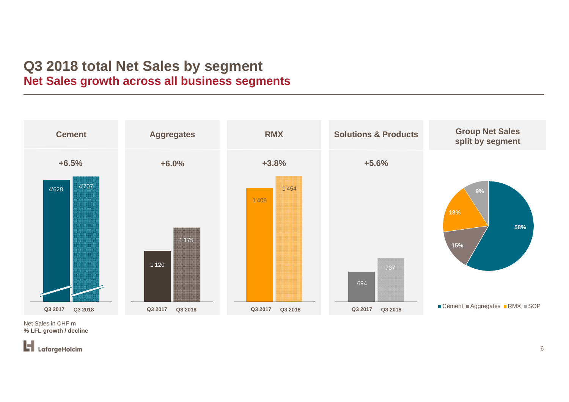#### **Q3 2018 total Net Sales by segment Net Sales growth across all business segments**



Net Sales in CHF m **% LFL growth / decline** 

H LafargeHolcim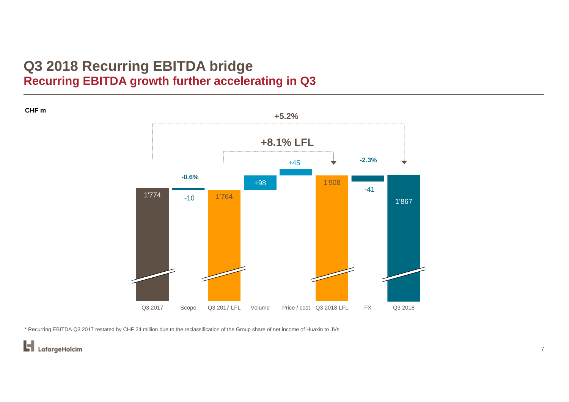#### **Q3 2018 Recurring EBITDA bridge Recurring EBITDA growth further accelerating in Q3**

**CHF m**



\* Recurring EBITDA Q3 2017 restated by CHF 24 million due to the reclassification of the Group share of net income of Huaxin to JVs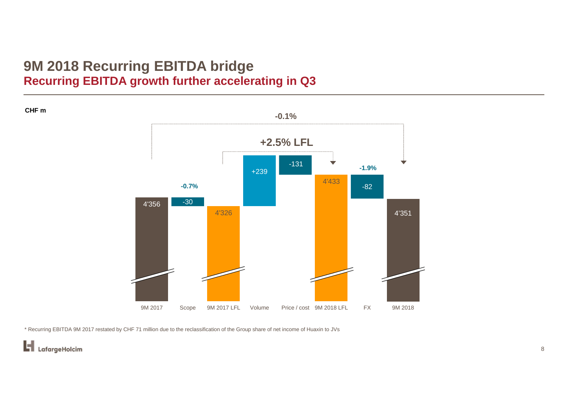#### **9M 2018 Recurring EBITDA bridge Recurring EBITDA growth further accelerating in Q3**

4'3564'3264'433-30 +239 -131 -82 4'351 9M 2017 Scope 9M 2017 LFL Volume Price / cost 9M 2018 LFL FX 9M 2018 **+2.5% LFL -0.1%-0.7% -1.9%**

\* Recurring EBITDA 9M 2017 restated by CHF 71 million due to the reclassification of the Group share of net income of Huaxin to JVs

**CHF m**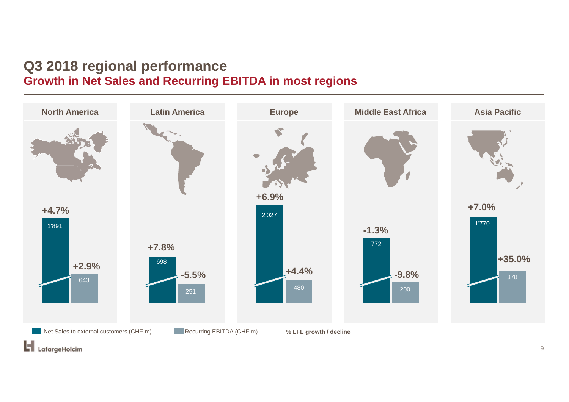#### **Q3 2018 regional performance Growth in Net Sales and Recurring EBITDA in most regions**

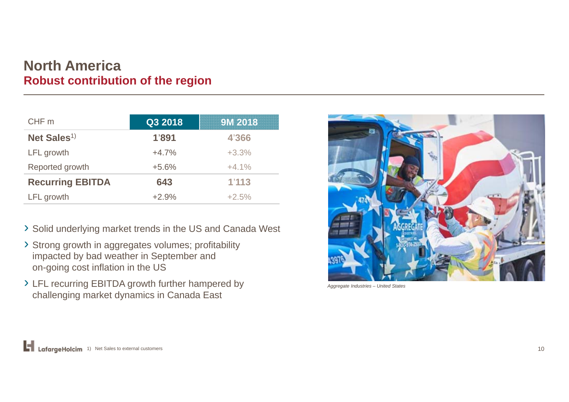#### **North AmericaRobust contribution of the region**

| CHF m                   | Q3 2018 | <b>9M 2018</b> |
|-------------------------|---------|----------------|
| Net Sales <sup>1)</sup> | 1'891   | 4'366          |
| LFL growth              | $+4.7%$ | $+3.3%$        |
| Reported growth         | $+5.6%$ | $+4.1%$        |
| <b>Recurring EBITDA</b> | 643     | 1'113          |
| LFL growth              | $+2.9%$ | $+2.5%$        |

› Solid underlying market trends in the US and Canada West

- › Strong growth in aggregates volumes; profitability impacted by bad weather in September and on-going cost inflation in the US
- › LFL recurring EBITDA growth further hampered by challenging market dynamics in Canada East



*Aggregate Industries – United States*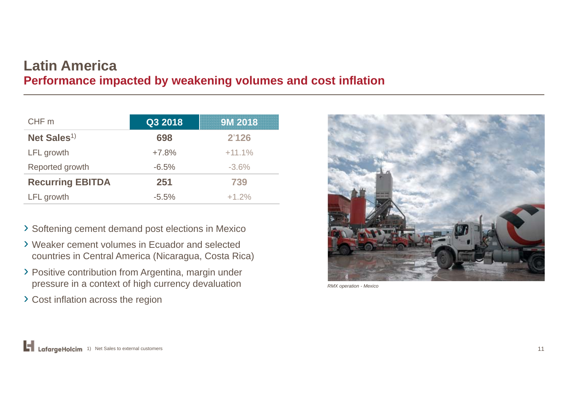#### **Latin America Performance impacted by weakening volumes and cost inflation**

| CHF m                   | Q3 2018 | 9M 2018  |
|-------------------------|---------|----------|
| Net Sales <sup>1)</sup> | 698     | 2'126    |
| LFL growth              | $+7.8%$ | $+11.1%$ |
| Reported growth         | $-6.5%$ | $-3.6%$  |
| <b>Recurring EBITDA</b> | 251     | 739      |
| LFL growth              | $-5.5%$ | $+1.2%$  |

- › Softening cement demand post elections in Mexico
- › Weaker cement volumes in Ecuador and selected countries in Central America (Nicaragua, Costa Rica)
- › Positive contribution from Argentina, margin under pressure in a context of high currency devaluation
- › Cost inflation across the region



*RMX operation - Mexico*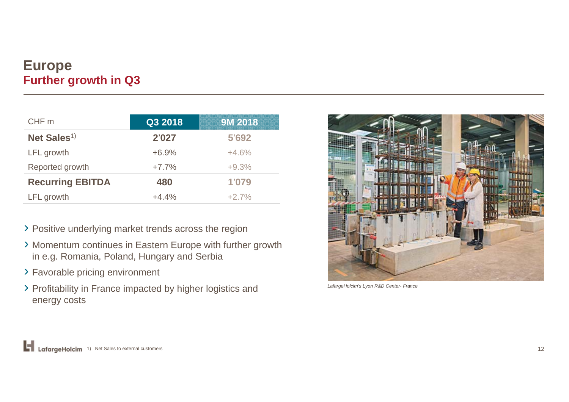#### **Europe Further growth in Q3**

| CHF m                   | Q3 2018 | <b>9M 2018</b> |
|-------------------------|---------|----------------|
| Net Sales <sup>1)</sup> | 2'027   | 5'692          |
| LFL growth              | $+6.9%$ | $+4.6%$        |
| Reported growth         | $+7.7%$ | $+9.3%$        |
| <b>Recurring EBITDA</b> | 480     | 1'079          |
| LFL growth              | $+4.4%$ | $+2.7%$        |

- › Positive underlying market trends across the region
- › Momentum continues in Eastern Europe with further growth in e.g. Romania, Poland, Hungary and Serbia
- › Favorable pricing environment
- › Profitability in France impacted by higher logistics and energy costs



*LafargeHolcim's Lyon R&D Center- France*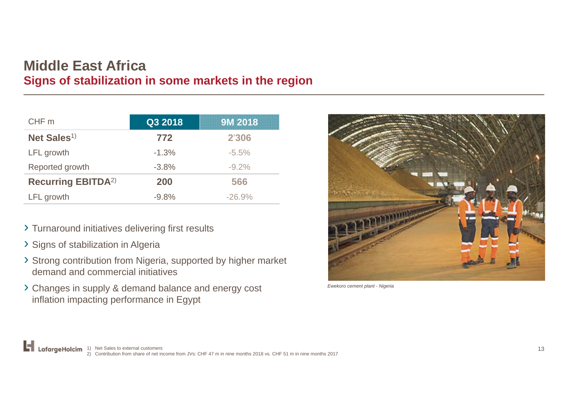#### **Middle East Africa Signs of stabilization in some markets in the region**

| CHF m                                 | Q3 2018 | 9M 2018  |
|---------------------------------------|---------|----------|
| Net Sales <sup>1)</sup>               | 772     | 2'306    |
| LFL growth                            | $-1.3%$ | $-5.5%$  |
| Reported growth                       | $-3.8%$ | $-9.2%$  |
| <b>Recurring EBITDA</b> <sup>2)</sup> | 200     | 566      |
| LFL growth                            | $-9.8%$ | $-26.9%$ |

- › Turnaround initiatives delivering first results
- › Signs of stabilization in Algeria
- › Strong contribution from Nigeria, supported by higher market demand and commercial initiatives
- › Changes in supply & demand balance and energy cost inflation impacting performance in Egypt



*Ewekoro cement plant - Nigeria*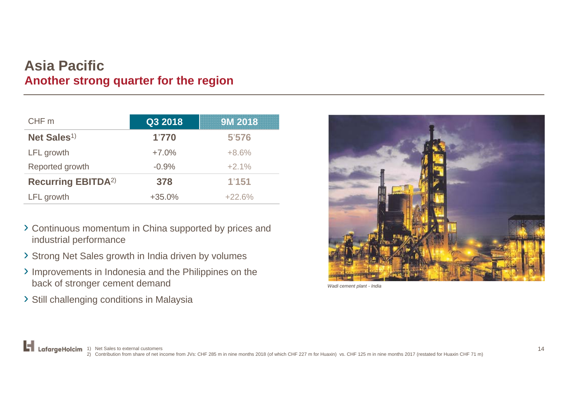#### **Asia Pacific Another strong quarter for the region**

| CHF m                                 | Q3 2018  | 9M 2018  |
|---------------------------------------|----------|----------|
| Net Sales <sup>1)</sup>               | 1'770    | 5'576    |
| LFL growth                            | $+7.0%$  | $+8.6%$  |
| Reported growth                       | $-0.9%$  | $+2.1%$  |
| <b>Recurring EBITDA</b> <sup>2)</sup> | 378      | 1'151    |
| LFL growth                            | $+35.0%$ | $+22.6%$ |

- › Continuous momentum in China supported by prices and industrial performance
- › Strong Net Sales growth in India driven by volumes
- › Improvements in Indonesia and the Philippines on the back of stronger cement demand
- › Still challenging conditions in Malaysia



*Wadi cement plant - India*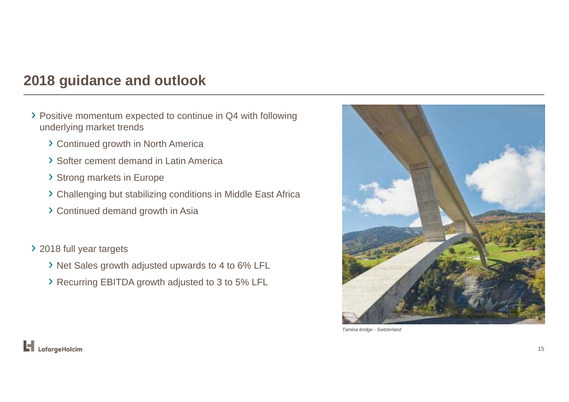### **2018 guidance and outlook**

- › Positive momentum expected to continue in Q4 with following underlying market trends
	- › Continued growth in North America
	- › Softer cement demand in Latin America
	- › Strong markets in Europe
	- › Challenging but stabilizing conditions in Middle East Africa
	- › Continued demand growth in Asia

› 2018 full year targets

- › Net Sales growth adjusted upwards to 4 to 6% LFL
- › Recurring EBITDA growth adjusted to 3 to 5% LFL



*Tamina bridge - Switzerland*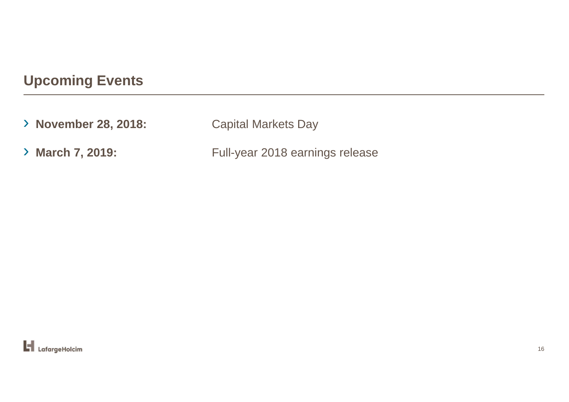# **Upcoming Events**

› **November 28, 2018:** Capital Markets Day > March 7, 2019: Full-year 2018 earnings release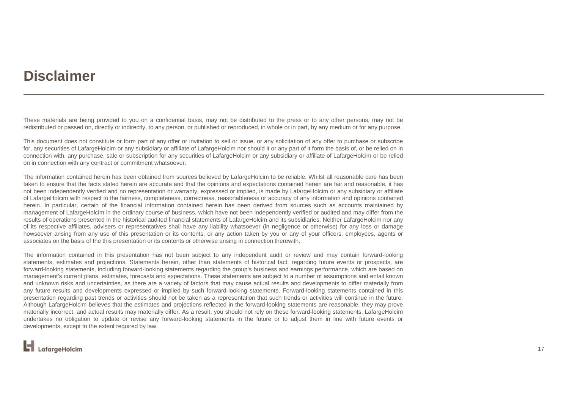### **Disclaimer**

These materials are being provided to you on <sup>a</sup> confidential basis, may not be distributed to the press or to any other persons, may not be redistributed or passed on, directly or indirectly, to any person, or published or reproduced, in whole or in part, by any medium or for any purpose.

This document does not constitute or form part of any offer or invitation to sell or issue, or any solicitation of any offer to purchase or subscribe for, any securities of LafargeHolcim or any subsidiary or affiliate of LafargeHolcim nor should it or any part of it form the basis of, or be relied on in connection with, any purchase, sale or subscription for any securities of LafargeHolcim or any subsidiary or affiliate of LafargeHolcim or be relied on in connection with any contract or commitment whatsoever.

The information contained herein has been obtained from sources believed by LafargeHolcim to be reliable. Whilst all reasonable care has been taken to ensure that the facts stated herein are accurate and that the opinions and expectations contained herein are fair and reasonable, it has not been independently verified and no representation or warranty, expressed or implied, is made by LafargeHolcim or any subsidiary or affiliate of LafargeHolcim with respect to the fairness, completeness, correctness, reasonableness or accuracy of any information and opinions contained herein. In particular, certain of the financial information contained herein has been derived from sources such as accounts maintained by management of LafargeHolcim in the ordinary course of business, which have not been independently verified or audited and may differ from the results of operations presented in the historical audited financial statements of LafargeHolcim and its subsidiaries. Neither LafargeHolcim nor any of its respective affiliates, advisers or representatives shall have any liability whatsoever (in negligence or otherwise) for any loss or damage howsoever arising from any use of this presentation or its contents, or any action taken by you or any of your officers, employees, agents or associates on the basis of the this presentation or its contents or otherwise arising in connection therewith.

The information contained in this presentation has not been subject to any independent audit or review and may contain forward-looking statements, estimates and projections. Statements herein, other than statements of historical fact, regarding future events or prospects, are forward-looking statements, including forward-looking statements regarding the group's business and earnings performance, which are based on management's current plans, estimates, forecasts and expectations. These statements are subject to <sup>a</sup> number of assumptions and entail known and unknown risks and uncertainties, as there are <sup>a</sup> variety of factors that may cause actual results and developments to differ materially from any future results and developments expressed or implied by such forward-looking statements. Forward-looking statements contained in this presentation regarding past trends or activities should not be taken as <sup>a</sup> representation that such trends or activities will continue in the future. Although LafargeHolcim believes that the estimates and projections reflected in the forward-looking statements are reasonable, they may prove materially incorrect, and actual results may materially differ. As <sup>a</sup> result, you should not rely on these forward-looking statements. LafargeHolcim undertakes no obligation to update or revise any forward-looking statements in the future or to adjust them in line with future events or developments, except to the extent required by law.